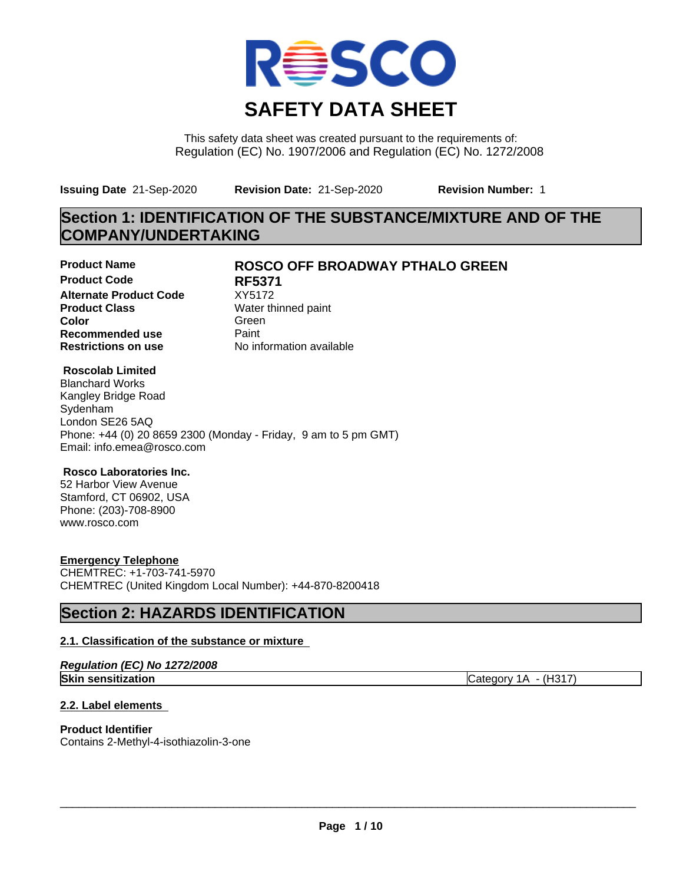

This safety data sheet was created pursuant to the requirements of: Regulation (EC) No. 1907/2006 and Regulation (EC) No. 1272/2008

**Issuing Date** 21-Sep-2020 **Revision Date:** 21-Sep-2020 **Revision Number:** 1

## **Section 1: IDENTIFICATION OF THE SUBSTANCE/MIXTURE AND OF THE COMPANY/UNDERTAKING**

**Product Code RF5371 Alternate Product Code** XY5172<br> **Product Class** Water th **Color** Green **Green** Green **Green Recommended use** Paint<br> **Restrictions on use** Mo information available **Restrictions on use** 

### **Product Name ROSCO OFF BROADWAY PTHALO GREEN**

**Water thinned paint** 

### **Roscolab Limited**

Blanchard Works Kangley Bridge Road Sydenham London SE26 5AQ Phone: +44 (0) 20 8659 2300 (Monday - Friday, 9 am to 5 pm GMT) Email: info.emea@rosco.com

### **Rosco Laboratories Inc.**

52 Harbor View Avenue Stamford, CT 06902, USA Phone: (203)-708-8900 www.rosco.com

### **Emergency Telephone**

CHEMTREC: +1-703-741-5970 CHEMTREC (United Kingdom Local Number): +44-870-8200418

### **Section 2: HAZARDS IDENTIFICATION**

### **2.1. Classification of the substance or mixture**

|  | Regulation (EC) No 1272/2008 |  |
|--|------------------------------|--|
|--|------------------------------|--|

**2.2. Label elements**

### **Product Identifier**

Contains 2-Methyl-4-isothiazolin-3-one

 $\overline{\phantom{a}}$  ,  $\overline{\phantom{a}}$  ,  $\overline{\phantom{a}}$  ,  $\overline{\phantom{a}}$  ,  $\overline{\phantom{a}}$  ,  $\overline{\phantom{a}}$  ,  $\overline{\phantom{a}}$  ,  $\overline{\phantom{a}}$  ,  $\overline{\phantom{a}}$  ,  $\overline{\phantom{a}}$  ,  $\overline{\phantom{a}}$  ,  $\overline{\phantom{a}}$  ,  $\overline{\phantom{a}}$  ,  $\overline{\phantom{a}}$  ,  $\overline{\phantom{a}}$  ,  $\overline{\phantom{a}}$ 

**Skin sensitization** Category 1A - (H317)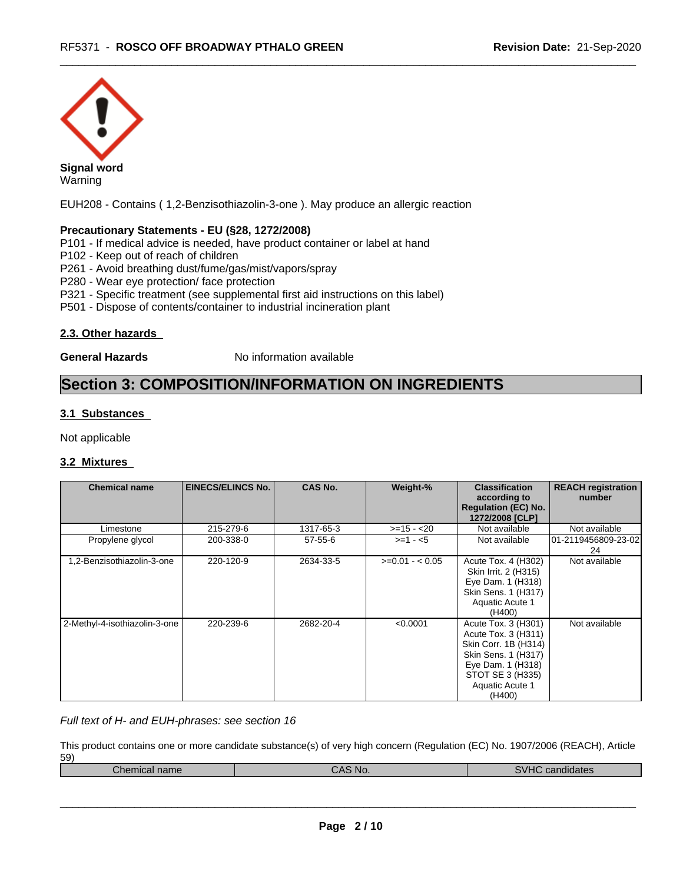

**Signal word** Warning

EUH208 - Contains ( 1,2-Benzisothiazolin-3-one ). May produce an allergic reaction

### **Precautionary Statements - EU (§28, 1272/2008)**

P101 - If medical advice is needed, have product container or label at hand

P102 - Keep out of reach of children

P261 - Avoid breathing dust/fume/gas/mist/vapors/spray

P280 - Wear eye protection/ face protection

P321 - Specific treatment (see supplemental first aid instructions on this label)

P501 - Dispose of contents/container to industrial incineration plant

#### **2.3. Other hazards**

**General Hazards** No information available

### **Section 3: COMPOSITION/INFORMATION ON INGREDIENTS**

### **3.1 Substances**

Not applicable

### **3.2 Mixtures**

| <b>Chemical name</b>          | <b>EINECS/ELINCS No.</b> | <b>CAS No.</b> | Weight-%        | <b>Classification</b><br>according to<br>Regulation (EC) No.<br>1272/2008 [CLP]                                                                                 | <b>REACH registration</b><br>number |
|-------------------------------|--------------------------|----------------|-----------------|-----------------------------------------------------------------------------------------------------------------------------------------------------------------|-------------------------------------|
| Limestone                     | 215-279-6                | 1317-65-3      | $>=15 - 20$     | Not available                                                                                                                                                   | Not available                       |
| Propylene glycol              | 200-338-0                | $57 - 55 - 6$  | $>=1 - 5$       | Not available                                                                                                                                                   | 01-2119456809-23-02 <br>24          |
| 1,2-Benzisothiazolin-3-one    | 220-120-9                | 2634-33-5      | $>=0.01 - 0.05$ | Acute Tox. 4 (H302)<br>Skin Irrit. 2 (H315)<br>Eye Dam. 1 (H318)<br>Skin Sens. 1 (H317)<br>Aquatic Acute 1<br>(H400)                                            | Not available                       |
| 2-Methyl-4-isothiazolin-3-one | 220-239-6                | 2682-20-4      | < 0.0001        | Acute Tox. 3 (H301)<br>Acute Tox. 3 (H311)<br>Skin Corr. 1B (H314)<br>Skin Sens. 1 (H317)<br>Eye Dam. 1 (H318)<br>STOT SE 3 (H335)<br>Aquatic Acute 1<br>(H400) | Not available                       |

#### *Full text of H- and EUH-phrases: see section 16*

This product contains one or more candidate substance(s) of very high concern (Regulation (EC) No. 1907/2006 (REACH), Article 59)

| $\sim$<br>.<br>Chemical<br>пань | . N∩<br>. . | $\cdots$<br>.<br><b>ndidates</b><br>$\sim$<br>.01 |
|---------------------------------|-------------|---------------------------------------------------|
|                                 |             |                                                   |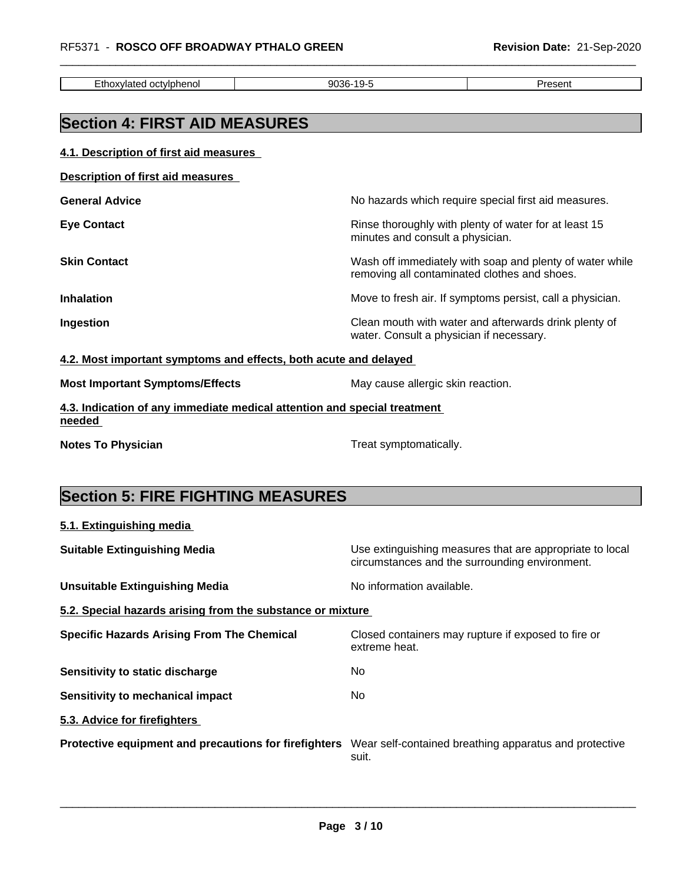| RF5371 - ROSCO OFF BROADWAY PTHALO GREEN                                           | <b>Revision Date: 21-Sep-2020</b>                    |                                                                                                          |  |  |
|------------------------------------------------------------------------------------|------------------------------------------------------|----------------------------------------------------------------------------------------------------------|--|--|
| Ethoxylated octylphenol                                                            | 9036-19-5                                            | Present                                                                                                  |  |  |
| <b>Section 4: FIRST AID MEASURES</b>                                               |                                                      |                                                                                                          |  |  |
| 4.1. Description of first aid measures                                             |                                                      |                                                                                                          |  |  |
| Description of first aid measures                                                  |                                                      |                                                                                                          |  |  |
| <b>General Advice</b>                                                              | No hazards which require special first aid measures. |                                                                                                          |  |  |
| <b>Eye Contact</b>                                                                 |                                                      | Rinse thoroughly with plenty of water for at least 15<br>minutes and consult a physician.                |  |  |
| <b>Skin Contact</b>                                                                |                                                      | Wash off immediately with soap and plenty of water while<br>removing all contaminated clothes and shoes. |  |  |
| <b>Inhalation</b>                                                                  |                                                      | Move to fresh air. If symptoms persist, call a physician.                                                |  |  |
| Ingestion                                                                          |                                                      | Clean mouth with water and afterwards drink plenty of<br>water. Consult a physician if necessary.        |  |  |
| 4.2. Most important symptoms and effects, both acute and delayed                   |                                                      |                                                                                                          |  |  |
| <b>Most Important Symptoms/Effects</b>                                             | May cause allergic skin reaction.                    |                                                                                                          |  |  |
| 4.3. Indication of any immediate medical attention and special treatment<br>needed |                                                      |                                                                                                          |  |  |
| Treat symptomatically.<br><b>Notes To Physician</b>                                |                                                      |                                                                                                          |  |  |

# **Section 5: FIRE FIGHTING MEASURES**

| 5.1. Extinguishing media                                   |                                                                                                            |  |  |  |  |
|------------------------------------------------------------|------------------------------------------------------------------------------------------------------------|--|--|--|--|
| <b>Suitable Extinguishing Media</b>                        | Use extinguishing measures that are appropriate to local<br>circumstances and the surrounding environment. |  |  |  |  |
| <b>Unsuitable Extinguishing Media</b>                      | No information available.                                                                                  |  |  |  |  |
| 5.2. Special hazards arising from the substance or mixture |                                                                                                            |  |  |  |  |
| <b>Specific Hazards Arising From The Chemical</b>          | Closed containers may rupture if exposed to fire or<br>extreme heat.                                       |  |  |  |  |
| Sensitivity to static discharge                            | No                                                                                                         |  |  |  |  |
| Sensitivity to mechanical impact                           | No.                                                                                                        |  |  |  |  |
| 5.3. Advice for firefighters                               |                                                                                                            |  |  |  |  |
| Protective equipment and precautions for firefighters      | Wear self-contained breathing apparatus and protective<br>suit.                                            |  |  |  |  |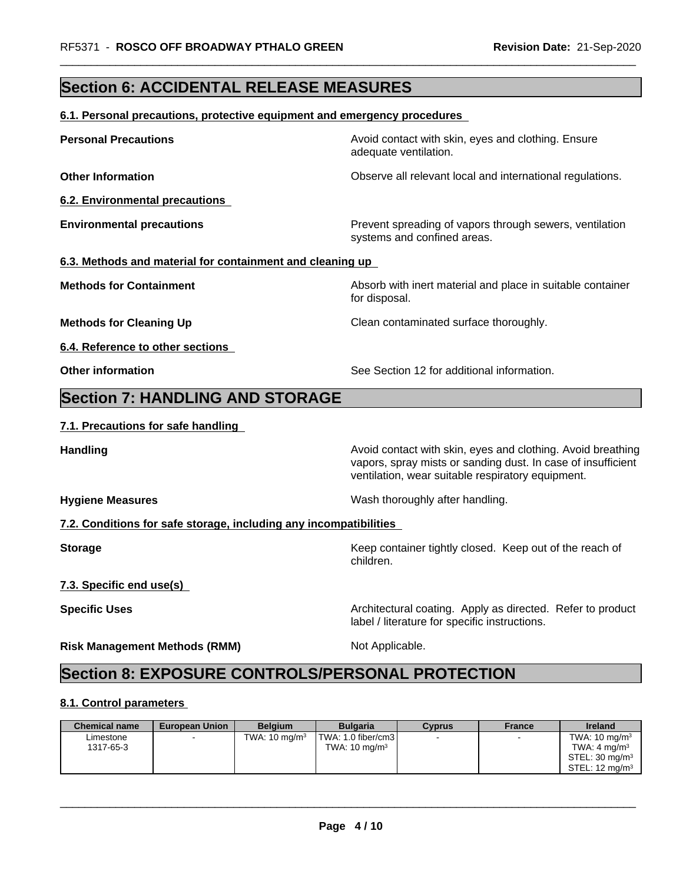## **Section 6: ACCIDENTAL RELEASE MEASURES**

| 6.1. Personal precautions, protective equipment and emergency procedures |                                                                                                                                                                                  |
|--------------------------------------------------------------------------|----------------------------------------------------------------------------------------------------------------------------------------------------------------------------------|
| <b>Personal Precautions</b>                                              | Avoid contact with skin, eyes and clothing. Ensure<br>adequate ventilation.                                                                                                      |
| <b>Other Information</b>                                                 | Observe all relevant local and international regulations.                                                                                                                        |
| 6.2. Environmental precautions                                           |                                                                                                                                                                                  |
| <b>Environmental precautions</b>                                         | Prevent spreading of vapors through sewers, ventilation<br>systems and confined areas.                                                                                           |
| 6.3. Methods and material for containment and cleaning up                |                                                                                                                                                                                  |
| <b>Methods for Containment</b>                                           | Absorb with inert material and place in suitable container<br>for disposal.                                                                                                      |
| <b>Methods for Cleaning Up</b>                                           | Clean contaminated surface thoroughly.                                                                                                                                           |
| 6.4. Reference to other sections                                         |                                                                                                                                                                                  |
| <b>Other information</b>                                                 | See Section 12 for additional information.                                                                                                                                       |
| <b>Section 7: HANDLING AND STORAGE</b>                                   |                                                                                                                                                                                  |
| 7.1. Precautions for safe handling                                       |                                                                                                                                                                                  |
| <b>Handling</b>                                                          | Avoid contact with skin, eyes and clothing. Avoid breathing<br>vapors, spray mists or sanding dust. In case of insufficient<br>ventilation, wear suitable respiratory equipment. |
| <b>Hygiene Measures</b>                                                  | Wash thoroughly after handling.                                                                                                                                                  |
| 7.2. Conditions for safe storage, including any incompatibilities        |                                                                                                                                                                                  |
| <b>Storage</b>                                                           | Keep container tightly closed. Keep out of the reach of<br>children.                                                                                                             |
| 7.3. Specific end use(s)                                                 |                                                                                                                                                                                  |
| <b>Specific Uses</b>                                                     | Architectural coating. Apply as directed. Refer to product<br>label / literature for specific instructions.                                                                      |
| <b>Risk Management Methods (RMM)</b>                                     | Not Applicable.                                                                                                                                                                  |
| <b>Section 8: EXPOSURE CONTROLS/PERSONAL PROTECTION</b>                  |                                                                                                                                                                                  |
|                                                                          |                                                                                                                                                                                  |
| 8.1. Control parameters                                                  |                                                                                                                                                                                  |

| <b>Chemical name</b> | <b>European Union</b> | <b>Belaium</b>           | <b>Bulgaria</b>          | <b>Cyprus</b> | France | <b>Ireland</b>             |
|----------------------|-----------------------|--------------------------|--------------------------|---------------|--------|----------------------------|
| Limestone            |                       | TWA: $10 \text{ mg/m}^3$ | TWA: 1.0 fiber/cm3       |               |        | TWA: $10 \text{ mg/m}^3$   |
| 1317-65-3            |                       |                          | TWA: $10 \text{ mg/m}^3$ |               |        | TWA: $4 \text{ mg/m}^3$    |
|                      |                       |                          |                          |               |        | STEL: 30 mg/m <sup>3</sup> |
|                      |                       |                          |                          |               |        | STEL: $12 \text{ ma/m}^3$  |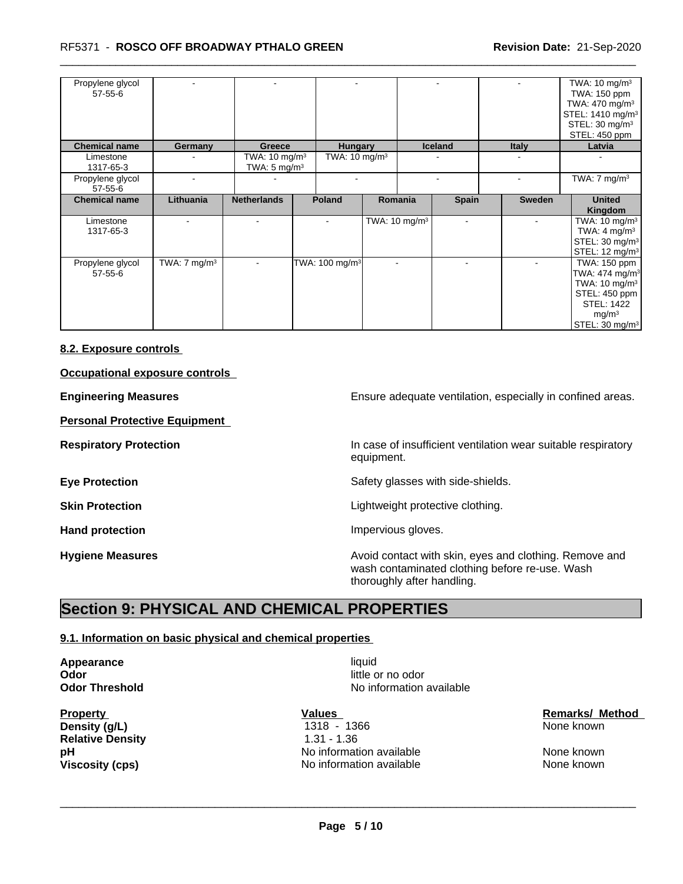| Propylene glycol<br>$57 - 55 - 6$ |                         |                                                     |                            |                           |                |              | TWA: $10 \text{ mg/m}^3$<br>TWA: 150 ppm<br>TWA: $470$ mg/m <sup>3</sup><br>STEL: 1410 mg/m <sup>3</sup><br>STEL: $30 \text{ mg/m}^3$<br>STEL: 450 ppm          |
|-----------------------------------|-------------------------|-----------------------------------------------------|----------------------------|---------------------------|----------------|--------------|-----------------------------------------------------------------------------------------------------------------------------------------------------------------|
| <b>Chemical name</b>              | Germany                 | Greece                                              | <b>Hungary</b>             |                           | <b>Iceland</b> | <b>Italy</b> | Latvia                                                                                                                                                          |
| Limestone<br>1317-65-3            |                         | TWA: $10 \text{ mg/m}^3$<br>TWA: $5 \text{ mg/m}^3$ | TWA: $10 \text{ mg/m}^3$   |                           |                |              |                                                                                                                                                                 |
| Propylene glycol<br>57-55-6       |                         |                                                     |                            |                           |                |              | TWA: $7 \text{ mg/m}^3$                                                                                                                                         |
| <b>Chemical name</b>              | Lithuania               | <b>Netherlands</b>                                  | Poland                     | Romania                   | <b>Spain</b>   | Sweden       | <b>United</b><br>Kingdom                                                                                                                                        |
| Limestone<br>1317-65-3            |                         | $\blacksquare$                                      | $\sim$                     | TWA: 10 mg/m <sup>3</sup> | $\sim$         | $\sim$       | TWA: $10 \text{ mg/m}^3$<br>TWA: $4 \text{ mg/m}^3$<br>STEL: 30 mg/m <sup>3</sup><br>STEL: 12 mg/m <sup>3</sup>                                                 |
| Propylene glycol<br>$57 - 55 - 6$ | TWA: $7 \text{ mg/m}^3$ | $\blacksquare$                                      | TWA: 100 mg/m <sup>3</sup> |                           |                |              | TWA: 150 ppm<br>TWA: 474 mg/m <sup>3</sup><br>TWA: $10 \text{ mg/m}^3$<br>STEL: 450 ppm<br><b>STEL: 1422</b><br>mg/m <sup>3</sup><br>STEL: 30 mg/m <sup>3</sup> |

### **8.2. Exposure controls**

### **Occupational exposure controls**

**Personal Protective Equipment**

**Engineering Measures Engineering Measures Engineering Measures Ensure adequate ventilation, especially in confined areas.** 

**Respiratory Protection In case of insufficient ventilation wear suitable respiratory** equipment.

**Eye Protection** Safety glasses with side-shields.

**Skin Protection Skin Protection Lightweight protective clothing.** 

Hand protection **Impervious** gloves.

**Hygiene Measures Avoid contact with skin, eyes and clothing. Remove and Avoid contact with skin, eyes and clothing. Remove and** wash contaminated clothing before re-use. Wash thoroughly after handling.

### **Section 9: PHYSICAL AND CHEMICAL PROPERTIES**

### **9.1. Information on basic physical and chemical properties**

**Appearance** liquid **Odor** little or no odor

**Relative Density** 1.31 - 1.36

**No information available** 

 $\overline{\phantom{a}}$  ,  $\overline{\phantom{a}}$  ,  $\overline{\phantom{a}}$  ,  $\overline{\phantom{a}}$  ,  $\overline{\phantom{a}}$  ,  $\overline{\phantom{a}}$  ,  $\overline{\phantom{a}}$  ,  $\overline{\phantom{a}}$  ,  $\overline{\phantom{a}}$  ,  $\overline{\phantom{a}}$  ,  $\overline{\phantom{a}}$  ,  $\overline{\phantom{a}}$  ,  $\overline{\phantom{a}}$  ,  $\overline{\phantom{a}}$  ,  $\overline{\phantom{a}}$  ,  $\overline{\phantom{a}}$ 

Property<br> **Property Calles**<br> **Property (q/L)**<br> **Property (q/L)**<br> **Property Calles**<br> **Property Calles**<br> **Property Calles**<br> **Property Calles**<br> **Property Calles**<br> **Property Calles**<br> **Property Calles**<br> **Property Calles**<br> **Prop Density (g/L)** 1318 - 1366 None known **pH bH** No information available None known None known **Viscosity (cps)** No information available None known None known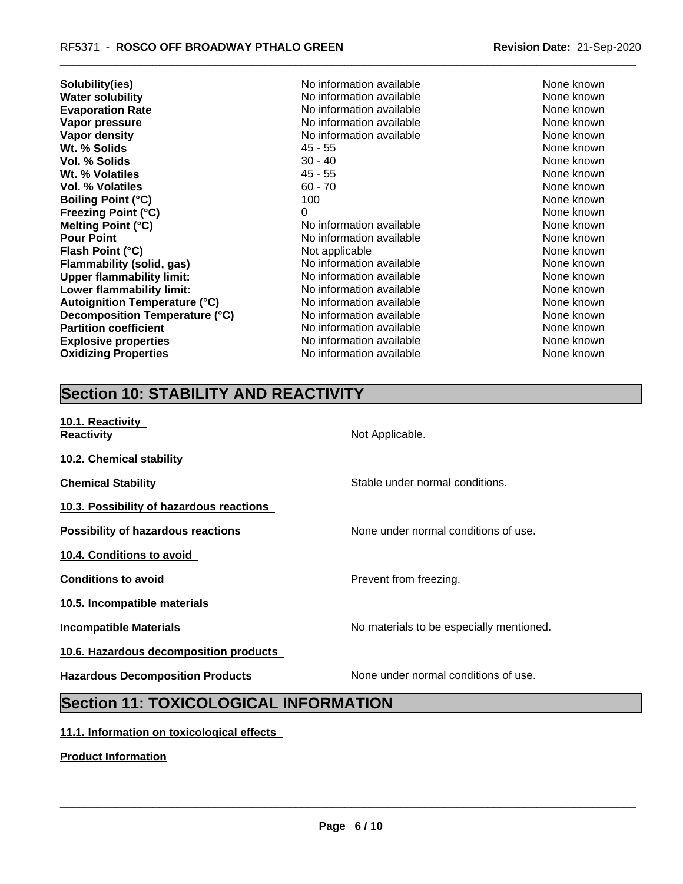| Solubility(ies)                      | No information available | None known |
|--------------------------------------|--------------------------|------------|
| <b>Water solubility</b>              | No information available | None known |
| <b>Evaporation Rate</b>              | No information available | None known |
| Vapor pressure                       | No information available | None known |
| Vapor density                        | No information available | None known |
| Wt. % Solids                         | $45 - 55$                | None known |
| Vol. % Solids                        | $30 - 40$                | None known |
| Wt. % Volatiles                      | 45 - 55                  | None known |
| <b>Vol. % Volatiles</b>              | $60 - 70$                | None known |
| <b>Boiling Point (°C)</b>            | 100                      | None known |
| <b>Freezing Point (°C)</b>           | 0                        | None known |
| Melting Point (°C)                   | No information available | None known |
| <b>Pour Point</b>                    | No information available | None known |
| Flash Point (°C)                     | Not applicable           | None known |
| Flammability (solid, gas)            | No information available | None known |
| <b>Upper flammability limit:</b>     | No information available | None known |
| Lower flammability limit:            | No information available | None known |
|                                      | No information available | None known |
| <b>Autoignition Temperature (°C)</b> |                          |            |
| Decomposition Temperature (°C)       | No information available | None known |
| <b>Partition coefficient</b>         | No information available | None known |
| <b>Explosive properties</b>          | No information available | None known |
| <b>Oxidizing Properties</b>          | No information available | None known |

## **Section 10: STABILITY AND REACTIVITY**

| <b>Section 11: TOXICOLOGICAL INFORMATION</b> |                                          |
|----------------------------------------------|------------------------------------------|
| <b>Hazardous Decomposition Products</b>      | None under normal conditions of use.     |
| 10.6. Hazardous decomposition products       |                                          |
| <b>Incompatible Materials</b>                | No materials to be especially mentioned. |
| 10.5. Incompatible materials                 |                                          |
| <b>Conditions to avoid</b>                   | Prevent from freezing.                   |
| 10.4. Conditions to avoid                    |                                          |
| <b>Possibility of hazardous reactions</b>    | None under normal conditions of use.     |
| 10.3. Possibility of hazardous reactions     |                                          |
| <b>Chemical Stability</b>                    | Stable under normal conditions.          |
| 10.2. Chemical stability                     |                                          |
| 10.1. Reactivity<br>Reactivity               | Not Applicable.                          |
|                                              |                                          |

### **11.1. Information on toxicological effects**

**Product Information**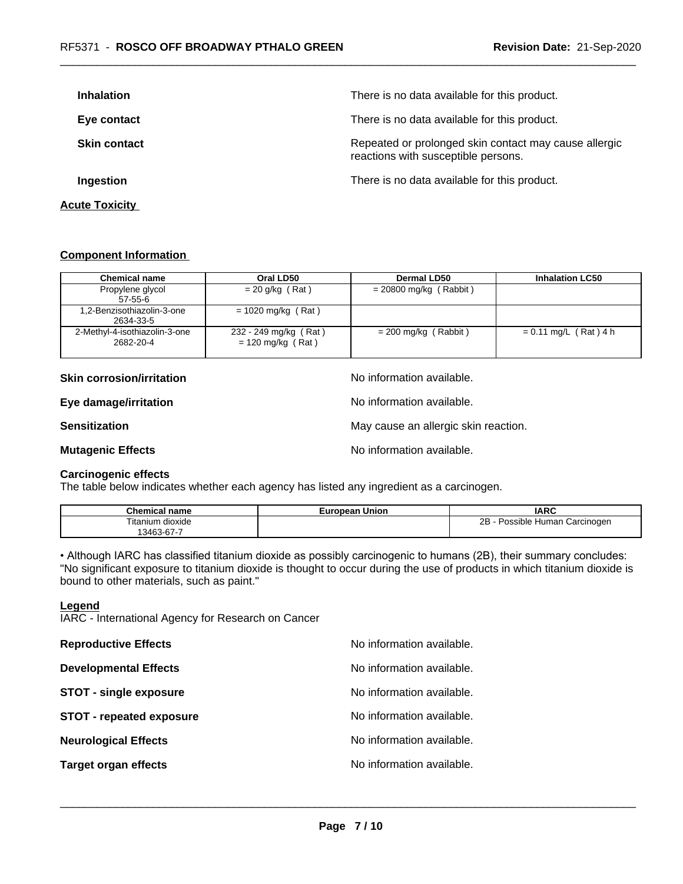| <b>Inhalation</b>     | There is no data available for this product.                                                 |
|-----------------------|----------------------------------------------------------------------------------------------|
| Eye contact           | There is no data available for this product.                                                 |
| <b>Skin contact</b>   | Repeated or prolonged skin contact may cause allergic<br>reactions with susceptible persons. |
| Ingestion             | There is no data available for this product.                                                 |
| <b>Acute Toxicity</b> |                                                                                              |

### **Component Information**

| <b>Chemical name</b>                       | Oral LD50                                    | <b>Dermal LD50</b>       | <b>Inhalation LC50</b>  |
|--------------------------------------------|----------------------------------------------|--------------------------|-------------------------|
| Propylene glycol<br>$57 - 55 - 6$          | $= 20$ g/kg (Rat)                            | $= 20800$ mg/kg (Rabbit) |                         |
| 1,2-Benzisothiazolin-3-one<br>2634-33-5    | $= 1020$ mg/kg (Rat)                         |                          |                         |
| 2-Methyl-4-isothiazolin-3-one<br>2682-20-4 | 232 - 249 mg/kg (Rat)<br>$= 120$ mg/kg (Rat) | $= 200$ mg/kg (Rabbit)   | $= 0.11$ mg/L (Rat) 4 h |

| <b>Skin corrosion/irritation</b> | No information available.            |
|----------------------------------|--------------------------------------|
| Eye damage/irritation            | No information available.            |
| <b>Sensitization</b>             | May cause an allergic skin reaction. |
| <b>Mutagenic Effects</b>         | No information available.            |

### **Carcinogenic effects**

The table below indicates whether each agency has listed any ingredient as a carcinogen.

| Chemical name    | European Union | <b>IARC</b>                        |
|------------------|----------------|------------------------------------|
| Titanium dioxide |                | 2В<br>Carcinogen<br>Possible Human |
| 13463-67-7       |                |                                    |

• Although IARC has classified titanium dioxide as possibly carcinogenic to humans (2B), their summary concludes: "No significant exposure to titanium dioxide is thought to occur during the use of products in which titanium dioxide is bound to other materials, such as paint."

### **Legend**

IARC - International Agency for Research on Cancer

| <b>Reproductive Effects</b>     | No information available. |
|---------------------------------|---------------------------|
| <b>Developmental Effects</b>    | No information available. |
| <b>STOT - single exposure</b>   | No information available. |
| <b>STOT - repeated exposure</b> | No information available. |
| <b>Neurological Effects</b>     | No information available. |
| <b>Target organ effects</b>     | No information available. |
|                                 |                           |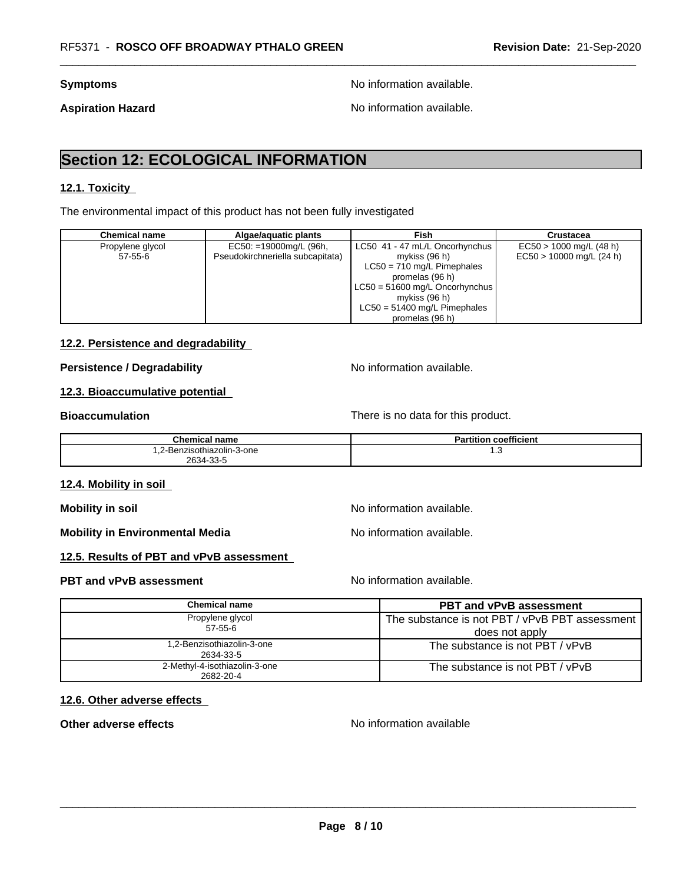**Symptoms** No information available.

**Aspiration Hazard Aspiration Hazard No information available.** 

### **Section 12: ECOLOGICAL INFORMATION**

### **12.1. Toxicity**

The environmental impact of this product has not been fully investigated

| <b>Chemical name</b> | Algae/aguatic plants             | Fish                                   | Crustacea                  |
|----------------------|----------------------------------|----------------------------------------|----------------------------|
| Propylene glycol     | EC50: =19000mg/L (96h,           | LC50 41 - 47 mL/L Oncorhynchus         | $EC50 > 1000$ mg/L (48 h)  |
| 57-55-6              | Pseudokirchneriella subcapitata) | mykiss (96 h)                          | $EC50 > 10000$ mg/L (24 h) |
|                      |                                  | $LC50 = 710$ mg/L Pimephales           |                            |
|                      |                                  | promelas (96 h)                        |                            |
|                      |                                  | $\vert$ LC50 = 51600 mg/L Oncorhynchus |                            |
|                      |                                  | mykiss (96 h)                          |                            |
|                      |                                  | $LC50 = 51400$ mg/L Pimephales         |                            |
|                      |                                  | promelas (96 h)                        |                            |

### **12.2. Persistence and degradability**

**Persistence / Degradability No information available.** 

### **12.3. Bioaccumulative potential**

**Bioaccumulation Bioaccumulation Bioaccumulation There is no data for this product.** 

| <b>Chemical name</b>       | <b>Partition coefficient</b> |
|----------------------------|------------------------------|
| 1.2-Benzisothiazolin-3-one | ں. ا                         |
| 2634-33-5                  |                              |

#### **12.4. Mobility in soil**

**Mobility** in soil **Mobility** in soil

**Mobility in Environmental Media** Noinformation available.

### **12.5. Results of PBT and vPvB assessment**

### **PBT and vPvB assessment No information available.**

| <b>Chemical name</b>          | <b>PBT and vPvB assessment</b>                 |
|-------------------------------|------------------------------------------------|
| Propylene glycol              | The substance is not PBT / vPvB PBT assessment |
| 57-55-6                       | does not apply                                 |
| 1,2-Benzisothiazolin-3-one    | The substance is not PBT / vPvB                |
| 2634-33-5                     |                                                |
| 2-Methyl-4-isothiazolin-3-one | The substance is not PBT / vPvB                |
| 2682-20-4                     |                                                |

### **12.6. Other adverse effects**

**Other adverse effects No information available No information available**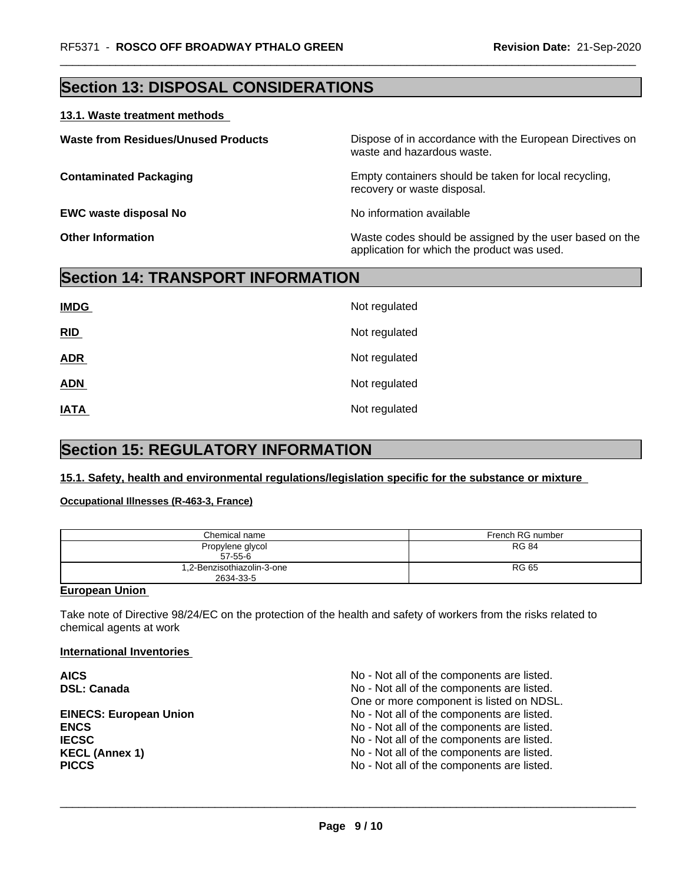### **Section 13: DISPOSAL CONSIDERATIONS**

### **13.1. Waste treatment methods**

| <b>Waste from Residues/Unused Products</b> | Dispose of in accordance with the European Directives on<br>waste and hazardous waste.                 |
|--------------------------------------------|--------------------------------------------------------------------------------------------------------|
| <b>Contaminated Packaging</b>              | Empty containers should be taken for local recycling,<br>recovery or waste disposal.                   |
| <b>EWC waste disposal No</b>               | No information available                                                                               |
| <b>Other Information</b>                   | Waste codes should be assigned by the user based on the<br>application for which the product was used. |

### **Section 14: TRANSPORT INFORMATION**

| <b>IMDG</b> | Not regulated |
|-------------|---------------|
| RID         | Not regulated |
| <b>ADR</b>  | Not regulated |
| <b>ADN</b>  | Not regulated |
| <b>IATA</b> | Not regulated |

### **Section 15: REGULATORY INFORMATION**

**15.1. Safety, health and environmental regulations/legislation specific for the substance or mixture**

### **Occupational Illnesses (R-463-3, France)**

| Chemical name                           | French RG number |
|-----------------------------------------|------------------|
| Propylene glycol<br>$57-55-6$           | <b>RG 84</b>     |
| 1,2-Benzisothiazolin-3-one<br>2634-33-5 | <b>RG 65</b>     |

### **European Union**

Take note of Directive 98/24/EC on the protection of the health and safety of workers from the risks related to chemical agents at work

### **International Inventories**

AICS<br> **AICS** No - Not all of the components are listed.<br>
No - Not all of the components are listed. No - Not all of the components are listed. One or more component is listed on NDSL. **EINECS: European Union** No - Not all of the components are listed. **ENCS ENCS ENCS ENCS ENCS ENCS ENCS ENCS ENCS ENCS ENCS ENCS ENCS ENCS ENCS ENCS ENCS ENCS ENCS ENCS ENCS ENCS ENCS ENCS ENCS ENCS ENCS ENCS ENCS ENCS ENCS ENCS IECSC**<br> **IECSC** (Annex 1) **IECSC** (Annex 1) **IECSC** (Annex 1) **IECSC** (Annex 1) **IECSC** (Annex 1) **IECSC** (Annex 1) No - Not all of the components are listed. **PICCS** No - Not all of the components are listed.